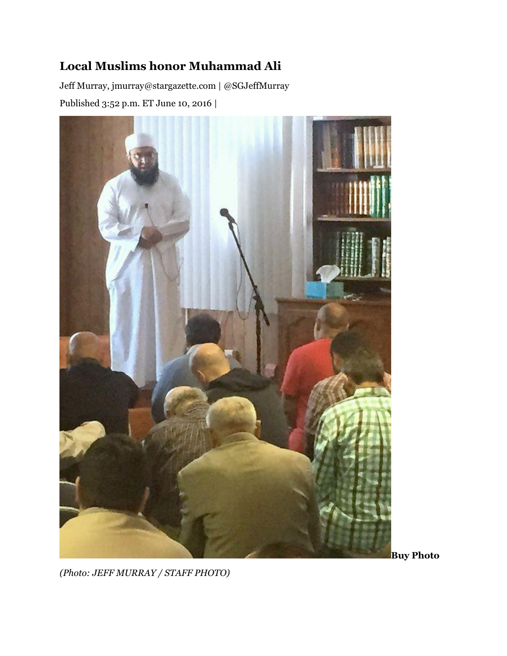## **Local Muslims honor Muhammad Ali**

Jeff Murray, jmurray@stargazette.com | @SGJeffMurray Published 3:52 p.m. ET June 10, 2016 |



**Buy Photo**

*(Photo: JEFF MURRAY / STAFF PHOTO)*